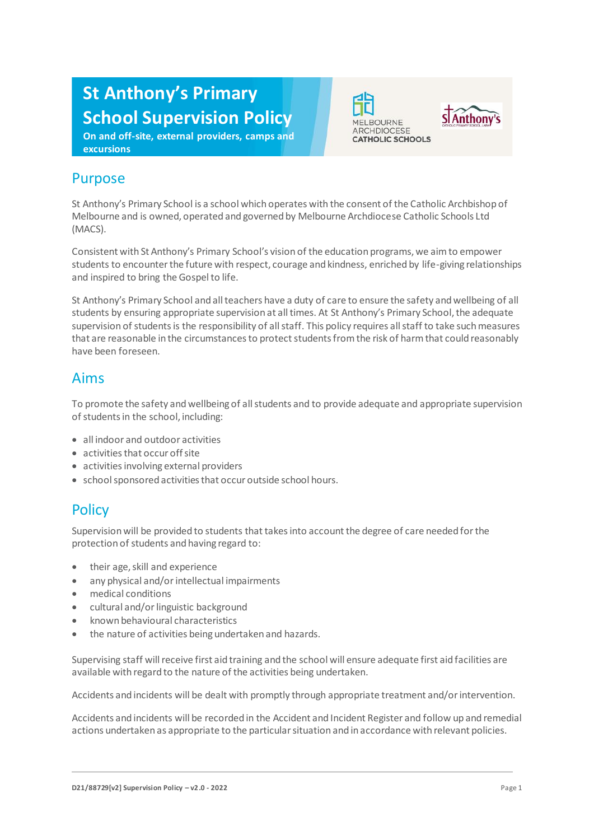# **St Anthony's Primary School Supervision Policy**

**On and off-site, external providers, camps and excursions**





## Purpose

St Anthony's Primary School is a school which operates with the consent of the Catholic Archbishop of Melbourne and is owned, operated and governed by Melbourne Archdiocese Catholic Schools Ltd (MACS).

Consistent with St Anthony's Primary School's vision of the education programs, we aim to empower students to encounter the future with respect, courage and kindness, enriched by life-giving relationships and inspired to bring the Gospel to life.

St Anthony's Primary School and all teachers have a duty of care to ensure the safety and wellbeing of all students by ensuring appropriate supervision at all times. At St Anthony's Primary School, the adequate supervision of students is the responsibility of all staff. This policy requires all staff to take such measures that are reasonable in the circumstances to protect students from the risk of harm that could reasonably have been foreseen.

#### Aims

To promote the safety and wellbeing of all students and to provide adequate and appropriate supervision of students in the school, including:

- all indoor and outdoor activities
- activities that occur off site
- activities involving external providers
- school sponsored activities that occur outside school hours.

# **Policy**

Supervision will be provided to students that takes into account the degree of care needed for the protection of students and having regard to:

- their age, skill and experience
- any physical and/or intellectual impairments
- medical conditions
- cultural and/or linguistic background
- known behavioural characteristics
- the nature of activities being undertaken and hazards.

Supervising staff will receive first aid training and the school will ensure adequate first aid facilities are available with regard to the nature of the activities being undertaken.

Accidents and incidents will be dealt with promptly through appropriate treatment and/or intervention.

Accidents and incidents will be recorded in the Accident and Incident Register and follow up and remedial actions undertaken as appropriate to the particular situation and in accordance with relevant policies.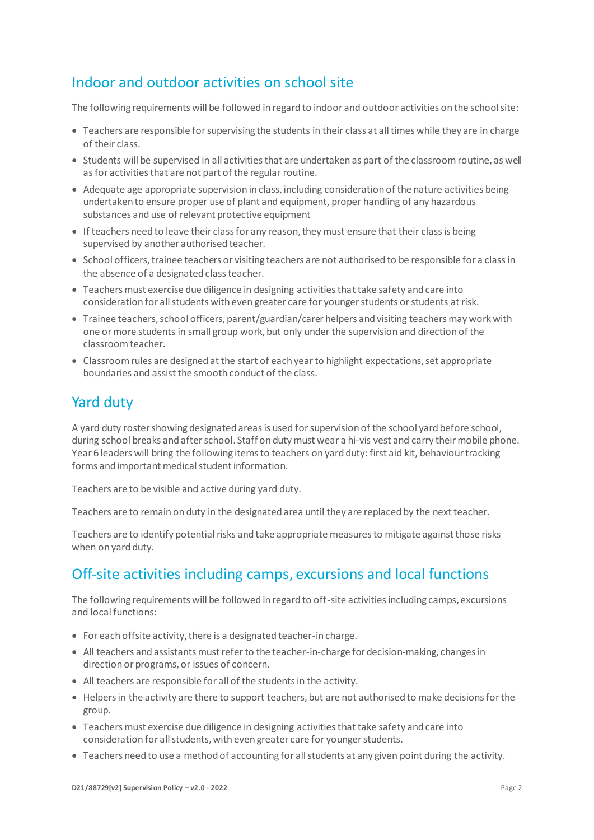## Indoor and outdoor activities on school site

The following requirements will be followed in regard to indoor and outdoor activities on the school site:

- Teachers are responsible for supervising the students in their class at all times while they are in charge of their class.
- Students will be supervised in all activities that are undertaken as part of the classroom routine, as well as for activities that are not part of the regular routine.
- Adequate age appropriate supervision in class, including consideration of the nature activities being undertaken to ensure proper use of plant and equipment, proper handling of any hazardous substances and use of relevant protective equipment
- If teachers need to leave their class for any reason, they must ensure that their class is being supervised by another authorised teacher.
- School officers, trainee teachers or visiting teachers are not authorised to be responsible for a class in the absence of a designated class teacher.
- Teachers must exercise due diligence in designing activities that take safety and care into consideration for all students with even greater care for younger students or students at risk.
- Trainee teachers, school officers, parent/guardian/carer helpers and visiting teachers may work with one or more students in small group work, but only under the supervision and direction of the classroom teacher.
- Classroom rules are designed at the start of each year to highlight expectations, set appropriate boundaries and assist the smooth conduct of the class.

### Yard duty

A yard duty roster showing designated areas is used for supervision of the school yard before school, during school breaks and after school. Staff on duty must wear a hi-vis vest and carry their mobile phone. Year 6 leaders will bring the following items to teachers on yard duty: first aid kit, behaviour tracking forms and important medical student information.

Teachers are to be visible and active during yard duty.

Teachers are to remain on duty in the designated area until they are replaced by the next teacher.

Teachers are to identify potential risks and take appropriate measures to mitigate against those risks when on yard duty.

### Off-site activities including camps, excursions and local functions

The following requirements will be followed in regard to off-site activities including camps, excursions and local functions:

- For each offsite activity, there is a designated teacher-in charge.
- All teachers and assistants must refer to the teacher-in-charge for decision-making, changes in direction or programs, or issues of concern.
- All teachers are responsible for all of the students in the activity.
- Helpers in the activity are there to support teachers, but are not authorised to make decisions for the group.
- Teachers must exercise due diligence in designing activities that take safety and care into consideration for all students, with even greater care for younger students.
- Teachers need to use a method of accounting for all students at any given point during the activity.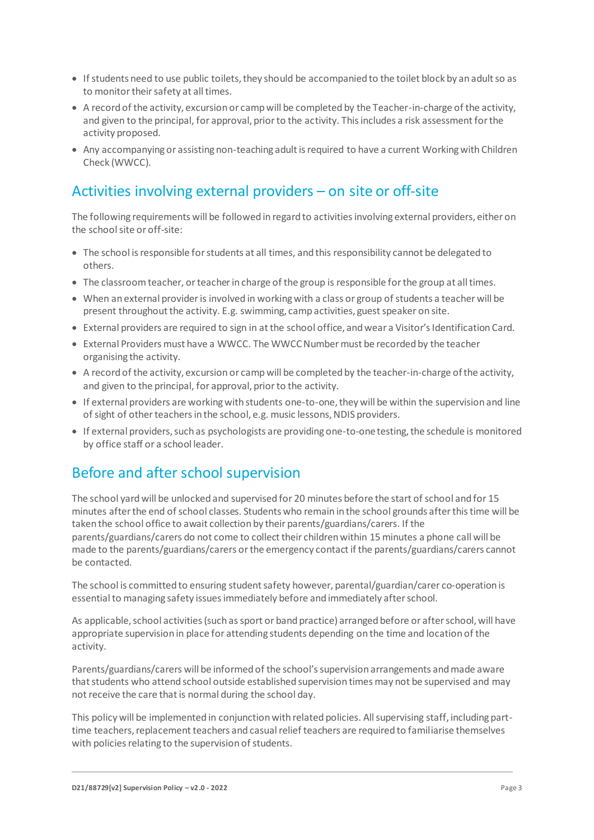- If students need to use public toilets, they should be accompanied to the toilet block by an adult so as to monitor their safety at all times.
- A record of the activity, excursion or camp will be completed by the Teacher-in-charge of the activity, and given to the principal, for approval, prior to the activity. This includes a risk assessment for the activity proposed.
- Any accompanying or assisting non-teaching adult is required to have a current Working with Children Check (WWCC).

# Activities involving external providers – on site or off-site

The following requirements will be followed in regard to activities involving external providers, either on the school site or off-site:

- The school is responsible for students at all times, and this responsibility cannot be delegated to others.
- The classroom teacher, or teacher in charge of the group is responsible for the group at all times.
- When an external provider is involved in working with a class or group of students a teacher will be present throughout the activity. E.g. swimming, camp activities, guest speaker on site.
- External providers are required to sign in at the school office, and wear a Visitor's Identification Card.
- External Providers must have a WWCC. The WWCC Number must be recorded by the teacher organising the activity.
- A record of the activity, excursion or camp will be completed by the teacher-in-charge of the activity, and given to the principal, for approval, prior to the activity.
- If external providers are working with students one-to-one, they will be within the supervision and line of sight of other teachers in the school, e.g. music lessons, NDIS providers.
- If external providers, such as psychologists are providing one-to-onetesting, the schedule is monitored by office staff or a school leader.

### Before and after school supervision

The school yard will be unlocked and supervised for 20 minutes before the start of school and for 15 minutes after the end of school classes. Students who remain in the school grounds after this time will be taken the school office to await collection by their parents/guardians/carers. If the parents/guardians/carers do not come to collect their children within 15 minutes a phone call will be made to the parents/guardians/carers or the emergency contact if the parents/guardians/carers cannot be contacted.

The school is committed to ensuring student safety however, parental/guardian/carer co-operation is essential to managing safety issues immediately before and immediately after school.

As applicable, school activities (such as sport or band practice) arranged before or after school, will have appropriate supervision in place for attending students depending on the time and location of the activity.

Parents/guardians/carers will be informed of the school's supervision arrangements and made aware that students who attend school outside established supervision times may not be supervised and may not receive the care that is normal during the school day.

This policy will be implemented in conjunction with related policies. All supervising staff, including parttime teachers, replacement teachers and casual relief teachers are required to familiarise themselves with policies relating to the supervision of students.